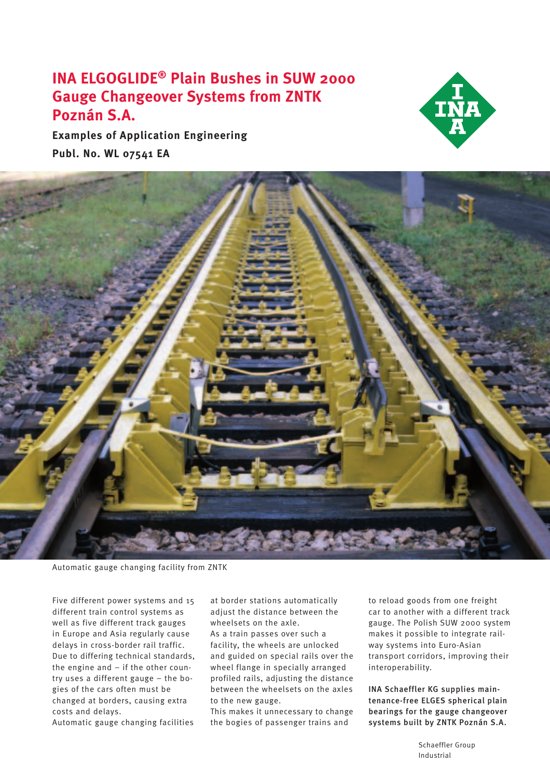# **INA ELGOGLIDE® Plain Bushes in SUW 2000 Gauge Changeover Systems from ZNTK Poznán S.A.**

**Examples of Application Engineering Publ. No. WL 07541 EA**





Automatic gauge changing facility from ZNTK

Five different power systems and 15 different train control systems as well as five different track gauges in Europe and Asia regularly cause delays in cross-border rail traffic. Due to differing technical standards, the engine and – if the other country uses a different gauge – the bogies of the cars often must be changed at borders, causing extra costs and delays.

Automatic gauge changing facilities

at border stations automatically adjust the distance between the wheelsets on the axle.

As a train passes over such a facility, the wheels are unlocked and guided on special rails over the wheel flange in specially arranged profiled rails, adjusting the distance between the wheelsets on the axles to the new gauge.

This makes it unnecessary to change the bogies of passenger trains and

to reload goods from one freight car to another with a different track gauge. The Polish SUW 2000 system makes it possible to integrate railway systems into Euro-Asian transport corridors, improving their interoperability.

INA Schaeffler KG supplies maintenance-free ELGES spherical plain bearings for the gauge changeover systems built by ZNTK Poznán S.A.